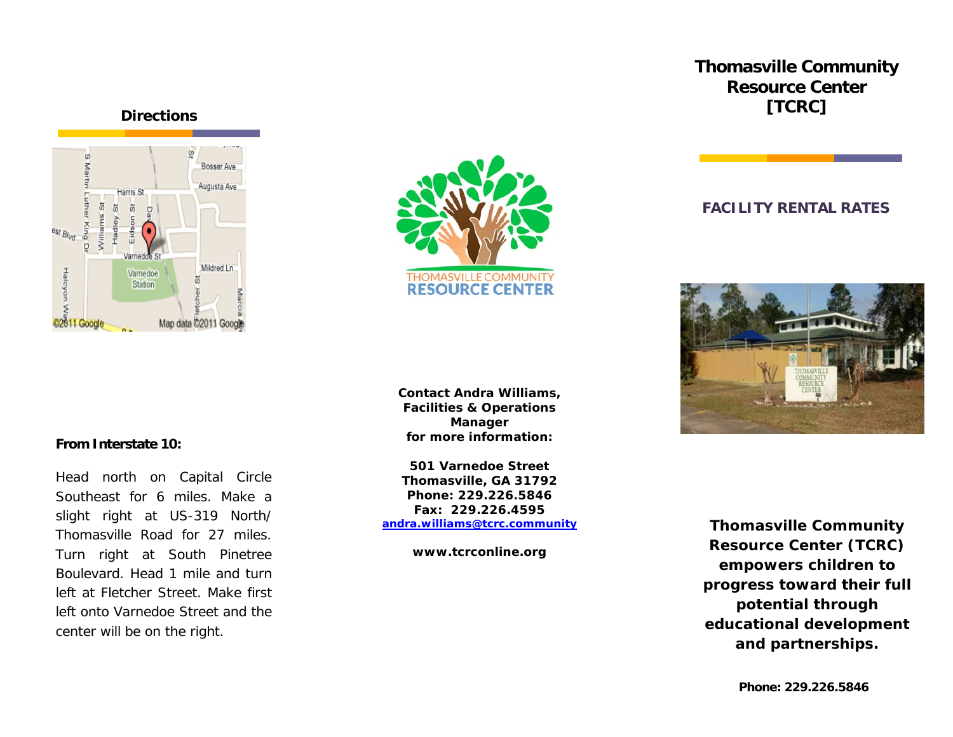# **Thomasville Community Resource Center [TCRC]**

**FACILITY RENTAL RATES**





**Contact Andra Williams, Facilities & Operations Manager for more information:**

**501 Varnedoe Street Thomasville, GA 31792 Phone: 229.226.5846 Fax: 229.226.4595 [andra.williams@tcrc.community](mailto:andra.williams@tcrc.community)**

**www.tcrconline.org**



*Thomasville Community Resource Center (TCRC) empowers children to progress toward their full potential through educational development and partnerships.*

#### **From Interstate 10:**

Head north on Capital Circle Southeast for 6 miles. Make a slight right at US-319 North/ Thomasville Road for 27 miles. Turn right at South Pinetree Boulevard. Head 1 mile and turn left at Fletcher Street. Make first left onto Varnedoe Street and the center will be on the right.